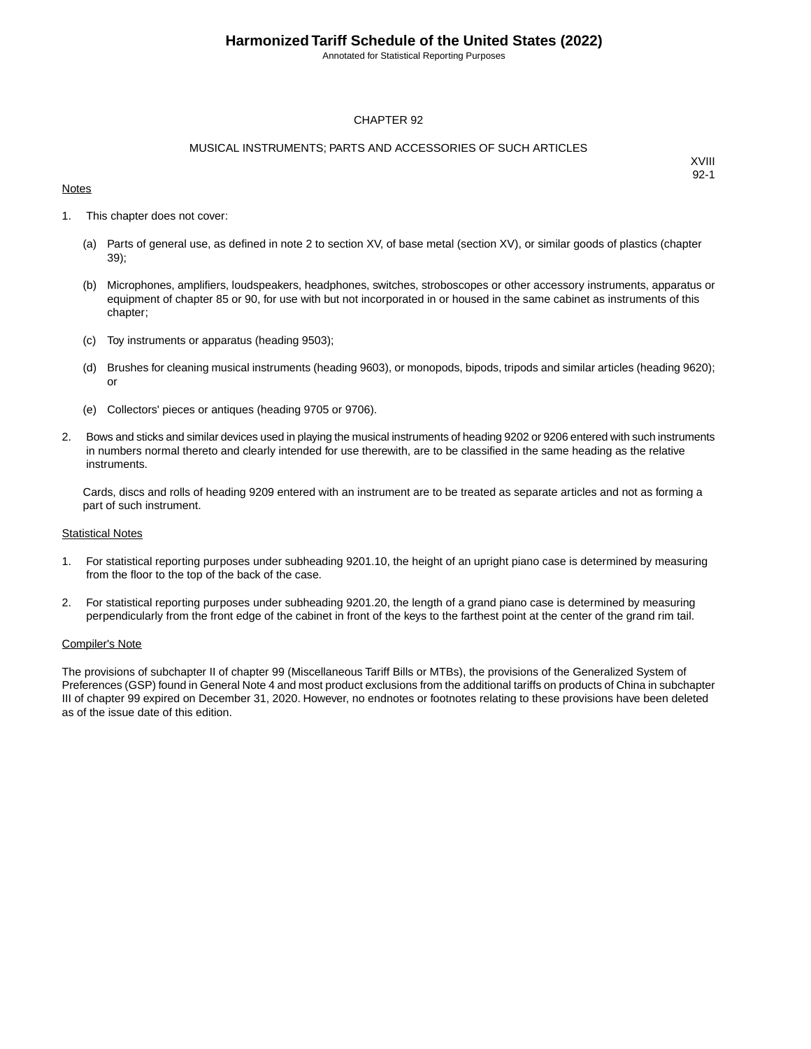Annotated for Statistical Reporting Purposes

### CHAPTER 92

#### MUSICAL INSTRUMENTS; PARTS AND ACCESSORIES OF SUCH ARTICLES

#### **Notes**

XVIII 92-1

- 1. This chapter does not cover:
	- (a) Parts of general use, as defined in note 2 to section XV, of base metal (section XV), or similar goods of plastics (chapter 39);
	- (b) Microphones, amplifiers, loudspeakers, headphones, switches, stroboscopes or other accessory instruments, apparatus or equipment of chapter 85 or 90, for use with but not incorporated in or housed in the same cabinet as instruments of this chapter;
	- (c) Toy instruments or apparatus (heading 9503);
	- (d) Brushes for cleaning musical instruments (heading 9603), or monopods, bipods, tripods and similar articles (heading 9620); or
	- (e) Collectors' pieces or antiques (heading 9705 or 9706).
- 2. Bows and sticks and similar devices used in playing the musical instruments of heading 9202 or 9206 entered with such instruments in numbers normal thereto and clearly intended for use therewith, are to be classified in the same heading as the relative instruments.

Cards, discs and rolls of heading 9209 entered with an instrument are to be treated as separate articles and not as forming a part of such instrument.

#### **Statistical Notes**

- 1. For statistical reporting purposes under subheading 9201.10, the height of an upright piano case is determined by measuring from the floor to the top of the back of the case.
- 2. For statistical reporting purposes under subheading 9201.20, the length of a grand piano case is determined by measuring perpendicularly from the front edge of the cabinet in front of the keys to the farthest point at the center of the grand rim tail.

#### Compiler's Note

The provisions of subchapter II of chapter 99 (Miscellaneous Tariff Bills or MTBs), the provisions of the Generalized System of Preferences (GSP) found in General Note 4 and most product exclusions from the additional tariffs on products of China in subchapter III of chapter 99 expired on December 31, 2020. However, no endnotes or footnotes relating to these provisions have been deleted as of the issue date of this edition.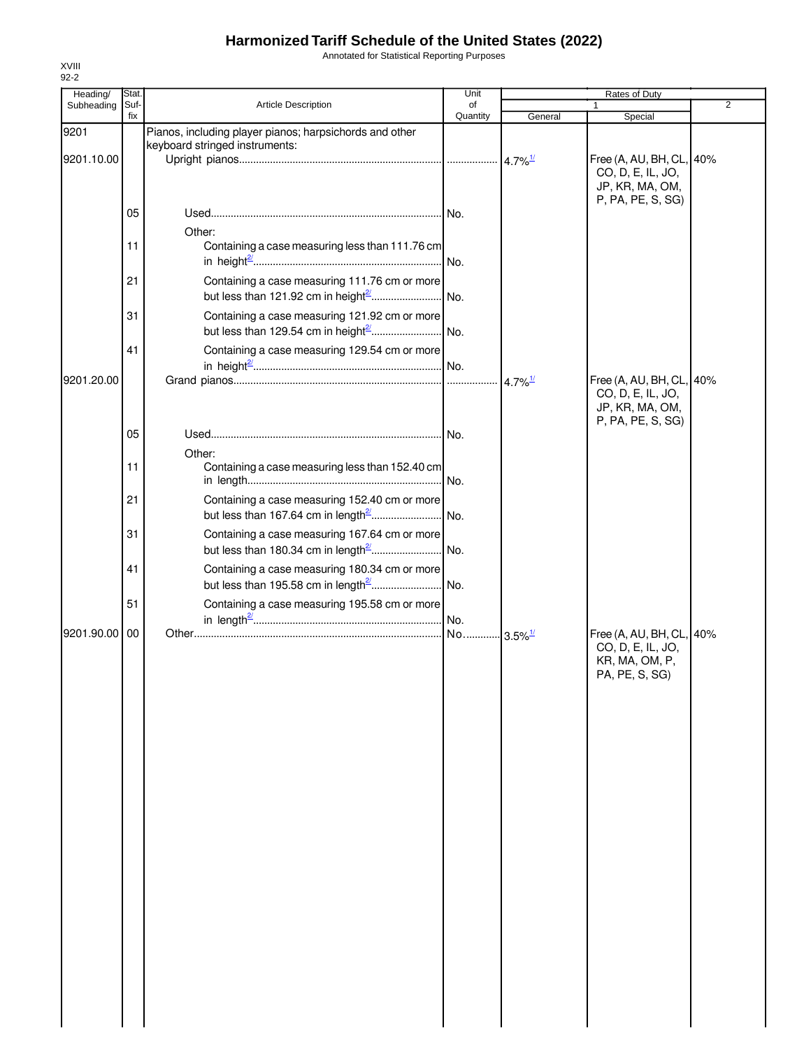Annotated for Statistical Reporting Purposes

| Heading/   | Stat.       |                                                                                                | Unit           |                        | Rates of Duty                                                    |   |
|------------|-------------|------------------------------------------------------------------------------------------------|----------------|------------------------|------------------------------------------------------------------|---|
| Subheading | Suf-<br>fix | Article Description                                                                            | of<br>Quantity | General                | $\mathbf{1}$<br>Special                                          | 2 |
| 9201       |             | Pianos, including player pianos; harpsichords and other                                        |                |                        |                                                                  |   |
| 9201.10.00 |             | keyboard stringed instruments:                                                                 |                | $4.7\%$ <sup>1/</sup>  | Free (A, AU, BH, CL, 40%<br>CO, D, E, IL, JO,<br>JP, KR, MA, OM, |   |
|            | 05          |                                                                                                |                |                        | P, PA, PE, S, SG)                                                |   |
|            | 11          | Other:<br>Containing a case measuring less than 111.76 cm                                      |                |                        |                                                                  |   |
|            | 21          | Containing a case measuring 111.76 cm or more                                                  |                |                        |                                                                  |   |
|            | 31          | Containing a case measuring 121.92 cm or more                                                  |                |                        |                                                                  |   |
| 9201.20.00 | 41          | Containing a case measuring 129.54 cm or more                                                  |                | $4.7\%$ <sup>1/</sup>  | Free (A, AU, BH, CL, 40%                                         |   |
|            |             |                                                                                                |                |                        | CO, D, E, IL, JO,<br>JP, KR, MA, OM,<br>P, PA, PE, S, SG)        |   |
|            | 05          | Other:                                                                                         |                |                        |                                                                  |   |
|            | 11          | Containing a case measuring less than 152.40 cm                                                |                |                        |                                                                  |   |
|            | 21<br>31    | Containing a case measuring 152.40 cm or more<br>Containing a case measuring 167.64 cm or more |                |                        |                                                                  |   |
|            | 41          | Containing a case measuring 180.34 cm or more                                                  |                |                        |                                                                  |   |
|            | 51          | Containing a case measuring 195.58 cm or more                                                  |                |                        |                                                                  |   |
| 9201.90.00 | 00          |                                                                                                |                | $-3.5\%$ <sup>1/</sup> | Free (A, AU, BH, CL, 40%                                         |   |
|            |             |                                                                                                |                |                        | CO, D, E, IL, JO,<br>KR, MA, OM, P,<br>PA, PE, S, SG)            |   |
|            |             |                                                                                                |                |                        |                                                                  |   |
|            |             |                                                                                                |                |                        |                                                                  |   |
|            |             |                                                                                                |                |                        |                                                                  |   |
|            |             |                                                                                                |                |                        |                                                                  |   |
|            |             |                                                                                                |                |                        |                                                                  |   |
|            |             |                                                                                                |                |                        |                                                                  |   |
|            |             |                                                                                                |                |                        |                                                                  |   |
|            |             |                                                                                                |                |                        |                                                                  |   |
|            |             |                                                                                                |                |                        |                                                                  |   |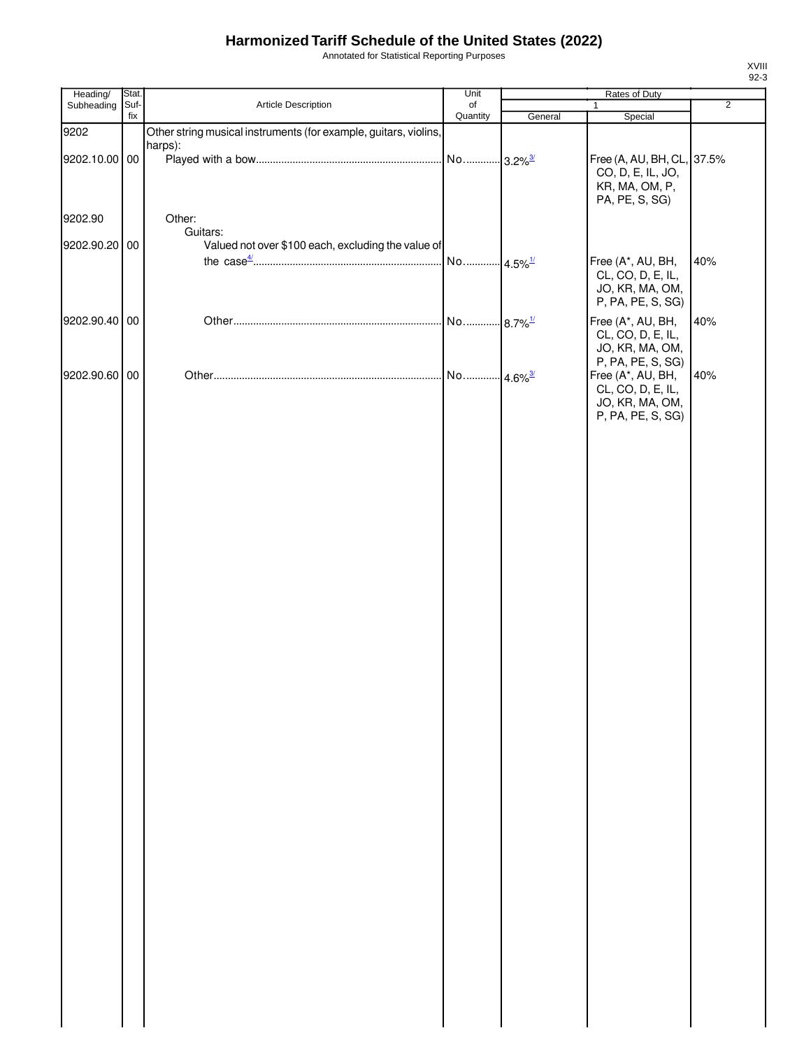Annotated for Statistical Reporting Purposes

| Heading/      | Stat.       |                                                                  | Unit                  |                        | Rates of Duty                                                                                       |                |
|---------------|-------------|------------------------------------------------------------------|-----------------------|------------------------|-----------------------------------------------------------------------------------------------------|----------------|
| Subheading    | Suf-<br>fix | Article Description                                              | of                    |                        | $\mathbf{1}$                                                                                        | $\overline{2}$ |
| 9202          |             | Other string musical instruments (for example, guitars, violins, | Quantity              | General                | Special                                                                                             |                |
| 9202.10.00 00 |             | harps):                                                          | No 3.2% <sup>3/</sup> |                        | Free (A, AU, BH, CL, 37.5%<br>CO, D, E, IL, JO,<br>KR, MA, OM, P,                                   |                |
| 9202.90       |             | Other:                                                           |                       |                        | PA, PE, S, SG)                                                                                      |                |
| 9202.90.20 00 |             | Guitars:<br>Valued not over \$100 each, excluding the value of   |                       |                        |                                                                                                     |                |
|               |             |                                                                  | No                    | $4.5\%$ <sup>1/</sup>  | Free (A*, AU, BH,<br>CL, CO, D, E, IL,<br>JO, KR, MA, OM,<br>P, PA, PE, S, SG)                      | 40%            |
| 9202.90.40 00 |             |                                                                  | No                    | $.8.7\%$ <sup>1/</sup> | Free (A*, AU, BH,<br>CL, CO, D, E, IL,<br>JO, KR, MA, OM,                                           | 40%            |
| 9202.90.60 00 |             |                                                                  | No 4.6% <sup>3/</sup> |                        | P, PA, PE, S, SG)<br>Free (A*, AU, BH,<br>CL, CO, D, E, IL,<br>JO, KR, MA, OM,<br>P, PA, PE, S, SG) | 40%            |
|               |             |                                                                  |                       |                        |                                                                                                     |                |
|               |             |                                                                  |                       |                        |                                                                                                     |                |
|               |             |                                                                  |                       |                        |                                                                                                     |                |
|               |             |                                                                  |                       |                        |                                                                                                     |                |
|               |             |                                                                  |                       |                        |                                                                                                     |                |
|               |             |                                                                  |                       |                        |                                                                                                     |                |
|               |             |                                                                  |                       |                        |                                                                                                     |                |
|               |             |                                                                  |                       |                        |                                                                                                     |                |
|               |             |                                                                  |                       |                        |                                                                                                     |                |
|               |             |                                                                  |                       |                        |                                                                                                     |                |
|               |             |                                                                  |                       |                        |                                                                                                     |                |
|               |             |                                                                  |                       |                        |                                                                                                     |                |
|               |             |                                                                  |                       |                        |                                                                                                     |                |
|               |             |                                                                  |                       |                        |                                                                                                     |                |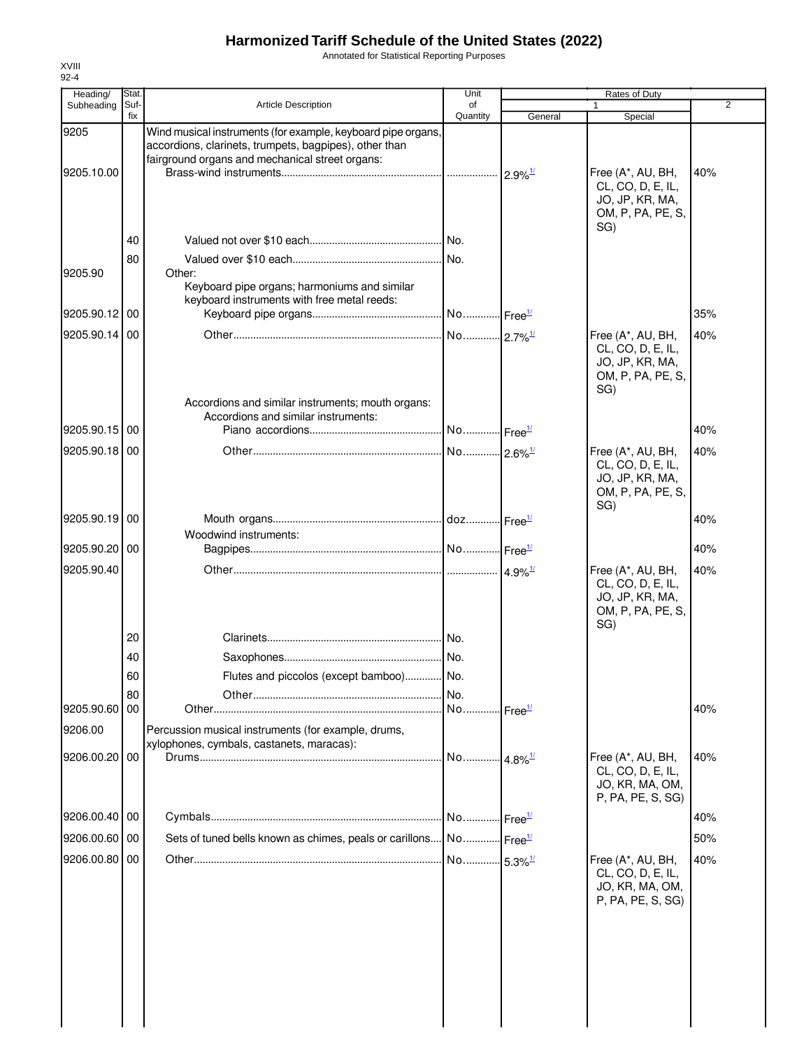Annotated for Statistical Reporting Purposes

| Heading/      | Stat.       |                                                                                                                                                                           | Unit                      |                            | Rates of Duty                                                                         |     |
|---------------|-------------|---------------------------------------------------------------------------------------------------------------------------------------------------------------------------|---------------------------|----------------------------|---------------------------------------------------------------------------------------|-----|
| Subheading    | Suf-<br>fix | <b>Article Description</b>                                                                                                                                                | of<br>Quantity            | General                    | Special                                                                               | 2   |
| 9205          |             | Wind musical instruments (for example, keyboard pipe organs,<br>accordions, clarinets, trumpets, bagpipes), other than<br>fairground organs and mechanical street organs: |                           |                            |                                                                                       |     |
| 9205.10.00    |             |                                                                                                                                                                           |                           | $2.9\%$ <sup>1/</sup>      | Free (A*, AU, BH,<br>CL, CO, D, E, IL,<br>JO, JP, KR, MA,<br>OM, P, PA, PE, S,<br>SG) | 40% |
|               | 40          |                                                                                                                                                                           |                           |                            |                                                                                       |     |
| 9205.90       | 80          | Other:<br>Keyboard pipe organs; harmoniums and similar                                                                                                                    | No.                       |                            |                                                                                       |     |
| 9205.90.12 00 |             | keyboard instruments with free metal reeds:                                                                                                                               | No Free <sup>1/</sup>     |                            |                                                                                       | 35% |
|               |             |                                                                                                                                                                           |                           |                            |                                                                                       |     |
| 9205.90.14 00 |             | Accordions and similar instruments; mouth organs:                                                                                                                         | No 2.7% <sup>1/</sup>     |                            | Free (A*, AU, BH,<br>CL, CO, D, E, IL,<br>JO, JP, KR, MA,<br>OM, P, PA, PE, S,<br>SG) | 40% |
|               |             | Accordions and similar instruments:                                                                                                                                       |                           |                            |                                                                                       |     |
| 9205.90.15 00 |             |                                                                                                                                                                           | No Free <sup>1/</sup>     |                            |                                                                                       | 40% |
| 9205.90.18 00 |             |                                                                                                                                                                           | No  2.6% <sup>1/</sup>    |                            | Free (A*, AU, BH,<br>CL, CO, D, E, IL,<br>JO, JP, KR, MA,<br>OM, P, PA, PE, S,<br>SG) | 40% |
| 9205.90.19 00 |             |                                                                                                                                                                           |                           |                            |                                                                                       | 40% |
| 9205.90.20 00 |             | Woodwind instruments:                                                                                                                                                     |                           |                            |                                                                                       | 40% |
|               |             |                                                                                                                                                                           |                           |                            |                                                                                       |     |
| 9205.90.40    |             |                                                                                                                                                                           |                           |                            | Free (A*, AU, BH,<br>CL, CO, D, E, IL,<br>JO, JP, KR, MA,<br>OM, P, PA, PE, S,<br>SG) | 40% |
|               | 20          |                                                                                                                                                                           |                           |                            |                                                                                       |     |
|               | 40          |                                                                                                                                                                           | No.                       |                            |                                                                                       |     |
|               | 60          | Flutes and piccolos (except bamboo)                                                                                                                                       | No.                       |                            |                                                                                       |     |
|               | 80          |                                                                                                                                                                           | .I No.                    |                            |                                                                                       |     |
| 9205.90.60 00 |             |                                                                                                                                                                           | No                        | $l$ Free $\frac{1}{l}$     |                                                                                       | 40% |
| 9206.00       |             | Percussion musical instruments (for example, drums,<br>xylophones, cymbals, castanets, maracas):                                                                          |                           |                            |                                                                                       |     |
| 9206.00.20 00 |             |                                                                                                                                                                           | No                        | $\cdot$ 4.8% $\frac{1}{2}$ | Free (A*, AU, BH,<br>CL, CO, D, E, IL,<br>JO, KR, MA, OM,<br>P, PA, PE, S, SG)        | 40% |
| 9206.00.40    | 00          |                                                                                                                                                                           | . No.  Free <sup>1/</sup> |                            |                                                                                       | 40% |
| 9206.00.60 00 |             | Sets of tuned bells known as chimes, peals or carillons No Free <sup>1/</sup>                                                                                             |                           |                            |                                                                                       | 50% |
| 9206.00.80 00 |             |                                                                                                                                                                           | No 5.3% <sup>1/</sup>     |                            | Free (A*, AU, BH,                                                                     | 40% |
|               |             |                                                                                                                                                                           |                           |                            | CL, CO, D, E, IL,<br>JO, KR, MA, OM,<br>P, PA, PE, S, SG)                             |     |
|               |             |                                                                                                                                                                           |                           |                            |                                                                                       |     |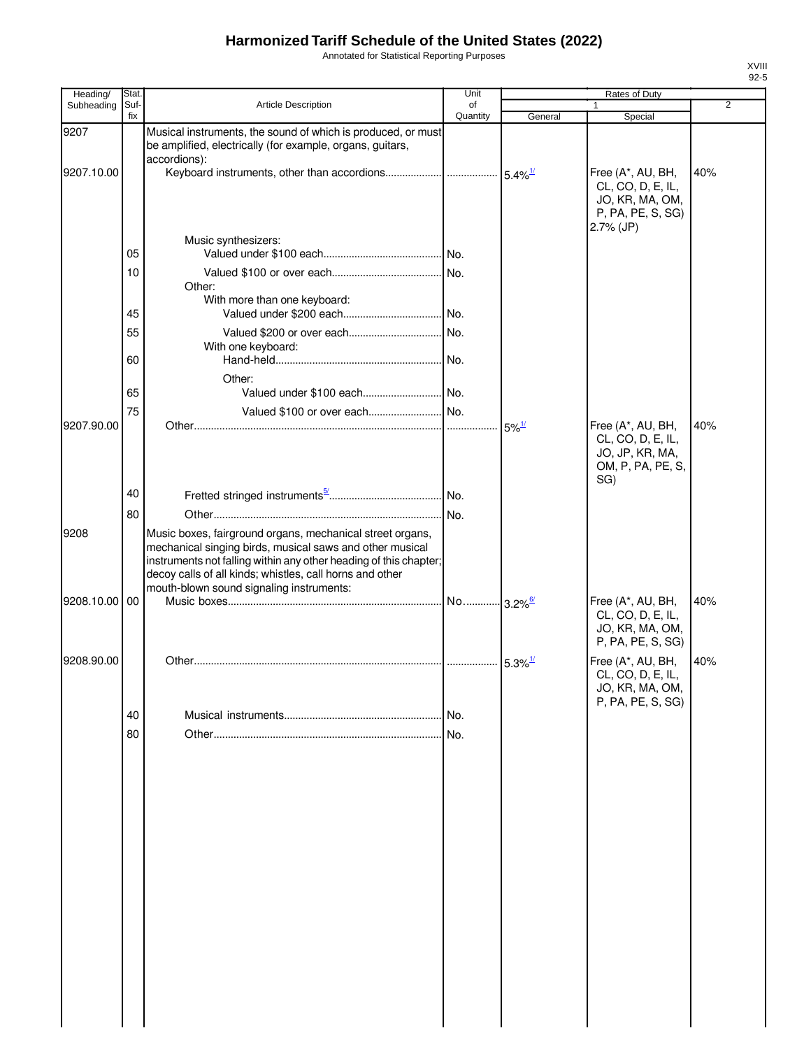Annotated for Statistical Reporting Purposes

| Heading/   | Stat.       |                                                                                                                                                                                                                                                                                                    | Unit           |                     | Rates of Duty                                                                               |                |
|------------|-------------|----------------------------------------------------------------------------------------------------------------------------------------------------------------------------------------------------------------------------------------------------------------------------------------------------|----------------|---------------------|---------------------------------------------------------------------------------------------|----------------|
| Subheading | Suf-<br>fix | Article Description                                                                                                                                                                                                                                                                                | of<br>Quantity | General             | Special                                                                                     | $\overline{2}$ |
| 9207       |             | Musical instruments, the sound of which is produced, or must<br>be amplified, electrically (for example, organs, guitars,<br>accordions):                                                                                                                                                          |                |                     |                                                                                             |                |
| 9207.10.00 |             |                                                                                                                                                                                                                                                                                                    |                |                     | Free (A*, AU, BH,<br>CL, CO, D, E, IL,<br>JO, KR, MA, OM,<br>P, PA, PE, S, SG)<br>2.7% (JP) | 40%            |
|            | 05          | Music synthesizers:                                                                                                                                                                                                                                                                                |                |                     |                                                                                             |                |
|            | 10          | Other:<br>With more than one keyboard:                                                                                                                                                                                                                                                             |                |                     |                                                                                             |                |
|            | 45          |                                                                                                                                                                                                                                                                                                    |                |                     |                                                                                             |                |
|            | 55          | With one keyboard:                                                                                                                                                                                                                                                                                 |                |                     |                                                                                             |                |
|            | 60          |                                                                                                                                                                                                                                                                                                    |                |                     |                                                                                             |                |
|            | 65          | Other:                                                                                                                                                                                                                                                                                             |                |                     |                                                                                             |                |
|            | 75          | Valued \$100 or over each No.                                                                                                                                                                                                                                                                      |                |                     |                                                                                             |                |
| 9207.90.00 |             |                                                                                                                                                                                                                                                                                                    |                | $5\%$ <sup>1/</sup> | Free (A*, AU, BH,<br>CL, CO, D, E, IL,<br>JO, JP, KR, MA,<br>OM, P, PA, PE, S,<br>SG)       | 40%            |
|            | 40          |                                                                                                                                                                                                                                                                                                    |                |                     |                                                                                             |                |
|            | 80          |                                                                                                                                                                                                                                                                                                    | No.            |                     |                                                                                             |                |
| 9208       |             | Music boxes, fairground organs, mechanical street organs,<br>mechanical singing birds, musical saws and other musical<br>instruments not falling within any other heading of this chapter;<br>decoy calls of all kinds; whistles, call horns and other<br>mouth-blown sound signaling instruments: |                |                     |                                                                                             |                |
| 9208.10.00 | 00          |                                                                                                                                                                                                                                                                                                    |                |                     | Free (A*, AU, BH,<br>CL, CO, D, E, IL,<br>JO, KR, MA, OM,<br>P, PA, PE, S, SG)              | 40%            |
| 9208.90.00 |             |                                                                                                                                                                                                                                                                                                    |                |                     | Free (A*, AU, BH,<br>CL, CO, D, E, IL,<br>JO, KR, MA, OM,<br>P, PA, PE, S, SG)              | 40%            |
|            | 40          |                                                                                                                                                                                                                                                                                                    | I No.          |                     |                                                                                             |                |
|            | 80          |                                                                                                                                                                                                                                                                                                    |                |                     |                                                                                             |                |
|            |             |                                                                                                                                                                                                                                                                                                    |                |                     |                                                                                             |                |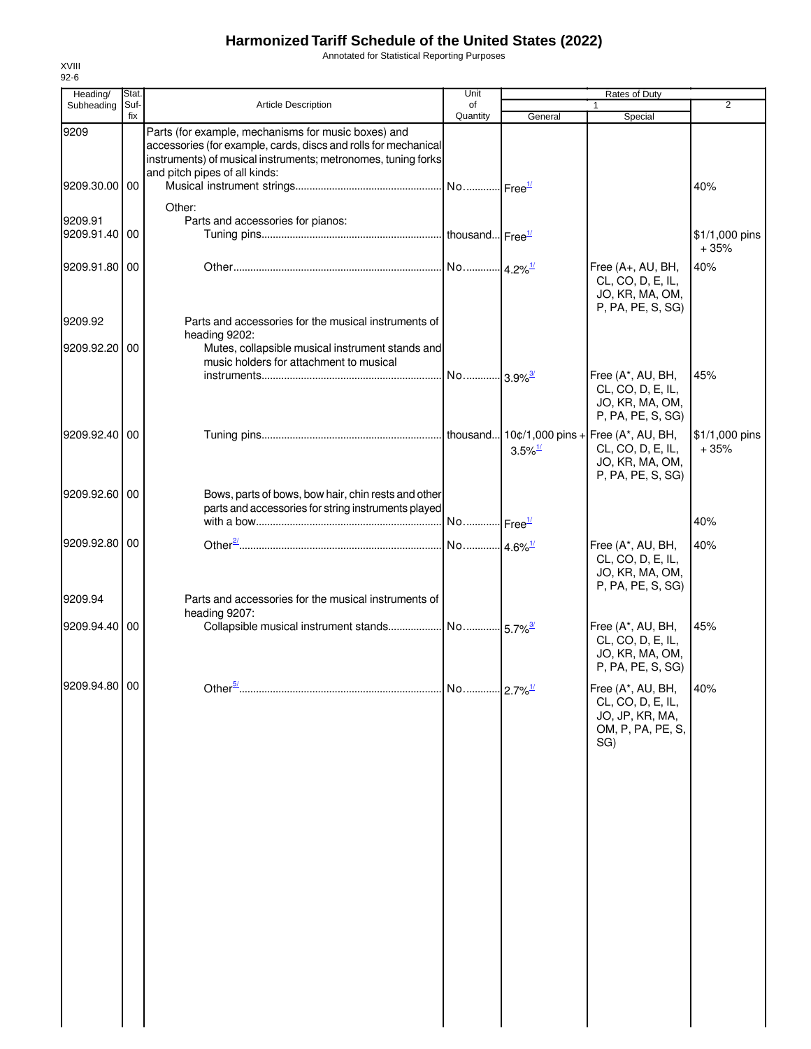Annotated for Statistical Reporting Purposes

| Heading/                 | Stat.       |                                                                                                                                                                                                                          | Unit                  |                       | Rates of Duty                                                                         |                          |
|--------------------------|-------------|--------------------------------------------------------------------------------------------------------------------------------------------------------------------------------------------------------------------------|-----------------------|-----------------------|---------------------------------------------------------------------------------------|--------------------------|
| Subheading               | Suf-<br>fix | Article Description                                                                                                                                                                                                      | of<br>Quantity        | General               | Special                                                                               | 2                        |
| 9209                     |             | Parts (for example, mechanisms for music boxes) and<br>accessories (for example, cards, discs and rolls for mechanical<br>instruments) of musical instruments; metronomes, tuning forks<br>and pitch pipes of all kinds: |                       |                       |                                                                                       |                          |
| 9209.30.00               | 00          |                                                                                                                                                                                                                          |                       |                       |                                                                                       | 40%                      |
| 9209.91<br>9209.91.40 00 |             | Other:<br>Parts and accessories for pianos:                                                                                                                                                                              |                       |                       |                                                                                       | \$1/1,000 pins           |
| 9209.91.80 00            |             |                                                                                                                                                                                                                          |                       |                       | Free (A+, AU, BH,<br>CL, CO, D, E, IL,<br>JO, KR, MA, OM,<br>P, PA, PE, S, SG)        | $+35%$<br>40%            |
| 9209.92                  |             | Parts and accessories for the musical instruments of<br>heading 9202:                                                                                                                                                    |                       |                       |                                                                                       |                          |
| 9209.92.20 00            |             | Mutes, collapsible musical instrument stands and<br>music holders for attachment to musical                                                                                                                              |                       |                       |                                                                                       |                          |
|                          |             |                                                                                                                                                                                                                          |                       |                       | Free (A*, AU, BH,<br>CL, CO, D, E, IL,<br>JO, KR, MA, OM,<br>P, PA, PE, S, SG)        | 45%                      |
| 9209.92.40 00            |             |                                                                                                                                                                                                                          |                       | $3.5\%$ <sup>1/</sup> | CL, CO, D, E, IL,<br>JO, KR, MA, OM,<br>P, PA, PE, S, SG)                             | \$1/1,000 pins<br>$+35%$ |
| 9209.92.60 00            |             | Bows, parts of bows, bow hair, chin rests and other<br>parts and accessories for string instruments played                                                                                                               |                       |                       |                                                                                       |                          |
|                          |             |                                                                                                                                                                                                                          |                       |                       |                                                                                       | 40%                      |
| 9209.92.80 00<br>9209.94 |             | Parts and accessories for the musical instruments of                                                                                                                                                                     |                       |                       | Free (A*, AU, BH,<br>CL, CO, D, E, IL,<br>JO, KR, MA, OM,<br>P, PA, PE, S, SG)        | 40%                      |
|                          |             | heading 9207:                                                                                                                                                                                                            |                       |                       |                                                                                       |                          |
| 9209.94.40 00            |             |                                                                                                                                                                                                                          |                       |                       | Free (A*, AU, BH,<br>CL, CO, D, E, IL,<br>JO, KR, MA, OM,<br>P, PA, PE, S, SG)        | 45%                      |
| 9209.94.80 00            |             |                                                                                                                                                                                                                          | No 2.7% <sup>1/</sup> |                       | Free (A*, AU, BH,<br>CL, CO, D, E, IL,<br>JO, JP, KR, MA,<br>OM, P, PA, PE, S,<br>SG) | 40%                      |
|                          |             |                                                                                                                                                                                                                          |                       |                       |                                                                                       |                          |
|                          |             |                                                                                                                                                                                                                          |                       |                       |                                                                                       |                          |
|                          |             |                                                                                                                                                                                                                          |                       |                       |                                                                                       |                          |
|                          |             |                                                                                                                                                                                                                          |                       |                       |                                                                                       |                          |
|                          |             |                                                                                                                                                                                                                          |                       |                       |                                                                                       |                          |
|                          |             |                                                                                                                                                                                                                          |                       |                       |                                                                                       |                          |
|                          |             |                                                                                                                                                                                                                          |                       |                       |                                                                                       |                          |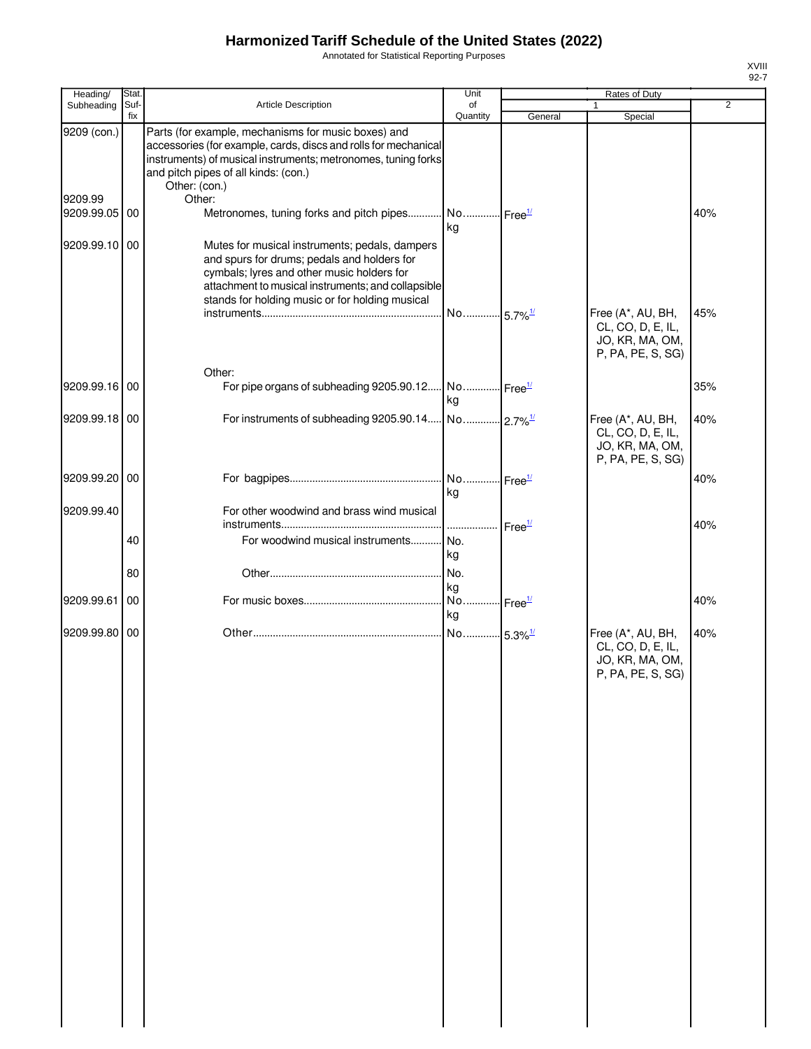Annotated for Statistical Reporting Purposes

| Heading/      | Stat. |                                                                                                                                                                                                                                                      | Unit                              |                            | Rates of Duty                                                                  |                |
|---------------|-------|------------------------------------------------------------------------------------------------------------------------------------------------------------------------------------------------------------------------------------------------------|-----------------------------------|----------------------------|--------------------------------------------------------------------------------|----------------|
| Subheading    | Suf-  | Article Description                                                                                                                                                                                                                                  | of                                |                            |                                                                                | $\overline{2}$ |
| 9209 (con.)   | fix   | Parts (for example, mechanisms for music boxes) and                                                                                                                                                                                                  | Quantity                          | General                    | Special                                                                        |                |
| 9209.99       |       | accessories (for example, cards, discs and rolls for mechanical<br>instruments) of musical instruments; metronomes, tuning forks<br>and pitch pipes of all kinds: (con.)<br>Other: (con.)<br>Other:                                                  |                                   |                            |                                                                                |                |
| 9209.99.05    | 00    | Metronomes, tuning forks and pitch pipes                                                                                                                                                                                                             | No Free <sup>1/</sup><br>kg       |                            |                                                                                | 40%            |
| 9209.99.10    | 00    | Mutes for musical instruments; pedals, dampers<br>and spurs for drums; pedals and holders for<br>cymbals; lyres and other music holders for<br>attachment to musical instruments; and collapsible<br>stands for holding music or for holding musical |                                   |                            |                                                                                |                |
|               |       |                                                                                                                                                                                                                                                      | No 5.7% <sup>1/</sup>             |                            | Free (A*, AU, BH,<br>CL, CO, D, E, IL,<br>JO, KR, MA, OM,<br>P, PA, PE, S, SG) | 45%            |
| 9209.99.16 00 |       | Other:<br>For pipe organs of subheading 9205.90.12 No Free <sup>1/</sup>                                                                                                                                                                             |                                   |                            |                                                                                | 35%            |
|               |       |                                                                                                                                                                                                                                                      | kg                                |                            |                                                                                |                |
| 9209.99.18 00 |       |                                                                                                                                                                                                                                                      |                                   |                            | Free (A*, AU, BH,<br>CL, CO, D, E, IL,<br>JO, KR, MA, OM,<br>P, PA, PE, S, SG) | 40%            |
| 9209.99.20 00 |       |                                                                                                                                                                                                                                                      | kg                                |                            |                                                                                | 40%            |
| 9209.99.40    |       | For other woodwind and brass wind musical                                                                                                                                                                                                            |                                   |                            |                                                                                |                |
|               | 40    | For woodwind musical instruments                                                                                                                                                                                                                     | l No.<br>kg                       | $\cdot$ Free <sup>1/</sup> |                                                                                | 40%            |
|               | 80    |                                                                                                                                                                                                                                                      | No.                               |                            |                                                                                |                |
| 9209.99.61    | 00    |                                                                                                                                                                                                                                                      | kg<br>No Free <sup>1/</sup><br>kg |                            |                                                                                | 40%            |
| 9209.99.80    | 00    |                                                                                                                                                                                                                                                      | No 5.3% <sup>1/</sup>             |                            | Free (A*, AU, BH,<br>CL, CO, D, E, IL,<br>JO, KR, MA, OM,<br>P, PA, PE, S, SG) | 40%            |
|               |       |                                                                                                                                                                                                                                                      |                                   |                            |                                                                                |                |